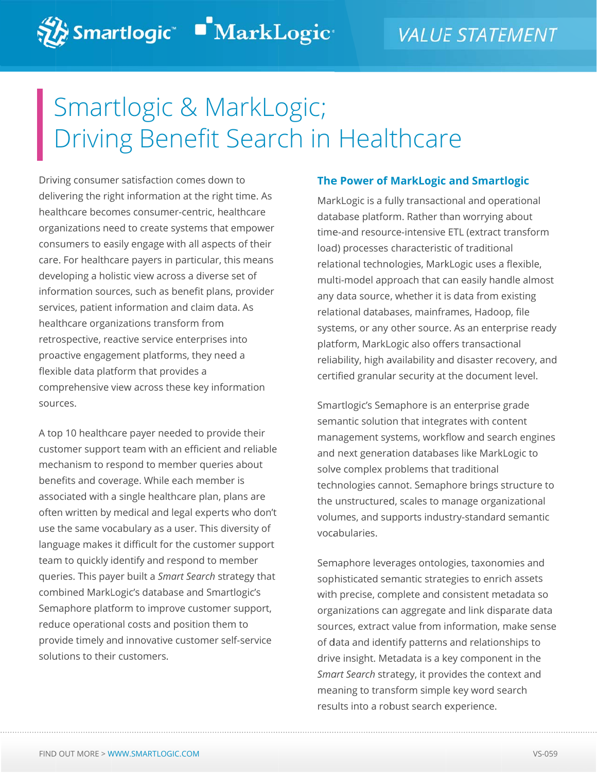# Smartlogic & MarkLogic; Driving Benefit Search in Healthcare

Driving consumer satisfaction comes down to delivering the right information at the right time. As hea lthcare beco mes consum mer-centric, h ealthcare orga anizations ne eed to create e systems tha at empower consumers to easily engage with all aspects of their care. For healthcare payers in particular, this means deve eloping a ho listic view ac ross a divers se set of information sources, such as benefit plans, provider services, patient information and claim data. As healthcare organizations transform from healthcare organizations transform from<br>retrospective, reactive service enterprises into proa active engag ement platfo orms, they ne eed a flexible data platform that provides a comprehensive view across these key information sou rces. C & M<br>
an effit<br>
concomes dow<br>
tain at the right<br>
mer-centric, he<br>
te systems that<br>
is in particular, t<br>
is in particular, t<br>
is in particular, t<br>
is in particular, t<br>
is in and claim dansform from<br>
is a sherefit plan<br>
is

A top 10 healthcare payer needed to provide their customer support team with an efficient and reliable mechanism to respond to member queries about benefits and coverage. While each member is associated with a single healthcare plan, plans are often written by medical and legal experts who don't use the same vocabulary as a user. This diversity of language makes it difficult for the customer support team m to quickly identify and respond to m member queries. This payer built a *Smart Search* strategy that com mbined MarkL Logic's datab base and Sma artlogic's Semaphore platform to improve customer support, reduce operational costs and position them to provide timely and innovative customer self-service solutions to their customers.

#### **The e Power of MarkLogic and Smart tlogic**

MarkLogic is a fully transactional and operational database platform. Rather than worrying about time-and resource-intensive ETL (extract transform load) processes characteristic of traditional relational technologies, MarkLogic uses a flexible, multi-model approach that can easily handle almost any data source , whether it i s data from existing relational databases, mainframes, Hadoop, file systems, or any other source. As an enterprise ready platform, MarkLogic also offers transactional reliability, high availability and disaster recovery, and cert tified granula ar security at the docume ent level.

Smartlogic's Semaphore is an enterprise grade semantic solution that integrates with content man nagement sy ystems, workf flow and sea arch engines and next generation databases like MarkLogic to solve complex problems that traditional technologies cannot. Semaphore brings structure to the unstructured, scales to manage organizational volumes, and supports industry-standard semantic voca abularies.

Semaphore leverages ontologies, taxonomies and sop histicated se emantic strat egies to enri ch assets with precise, complete and consistent metadata so organizations can aggregate and link disparate data sou rces, extract value from i nformation, make sense of data and identify patterns and relationships to drive insight. Metadata is a key component in the *Smart Search* strategy, it provides the context and mea aning to tran sform simple e key word s earch results into a robust search experience.